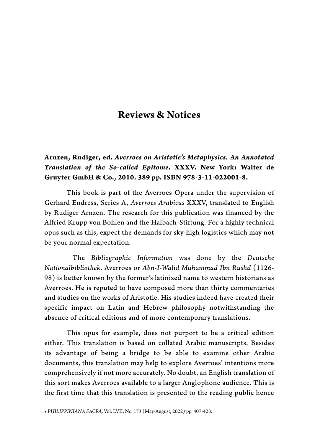# **Reviews & Notices**

# **Arnzen, Rudiger, ed.** *Averroes on Aristotle's Metaphysics. An Annotated Translation of the So-called Epitome***. XXXV. New York: Walter de Gruyter GmbH & Co., 2010. 389 pp. ISBN 978-3-11-022001-8.**

This book is part of the Averroes Opera under the supervision of Gerhard Endress, Series A, *Averroes Arabicus* XXXV, translated to English by Rudiger Arnzen. The research for this publication was financed by the Alfried Krupp von Bohlen and the Halbach-Stiftung. For a highly technical opus such as this, expect the demands for sky-high logistics which may not be your normal expectation.

 The *Bibliographic Information* was done by the *Deutsche Nationalbibliothek*. Averroes or *Abn-I-Walid Muhammad Ibn Rushd* (1126- 98) is better known by the former's latinized name to western historians as Averroes. He is reputed to have composed more than thirty commentaries and studies on the works of Aristotle. His studies indeed have created their specific impact on Latin and Hebrew philosophy notwithstanding the absence of critical editions and of more contemporary translations.

This opus for example, does not purport to be a critical edition either. This translation is based on collated Arabic manuscripts. Besides its advantage of being a bridge to be able to examine other Arabic documents, this translation may help to explore Averroes' intentions more comprehensively if not more accurately. No doubt, an English translation of this sort makes Averroes available to a larger Anglophone audience. This is the first time that this translation is presented to the reading public hence

**•** *PHILIPPINIANA SACRA,* Vol. LVII, No. 173 (May-August, 2022) pp. 407-428.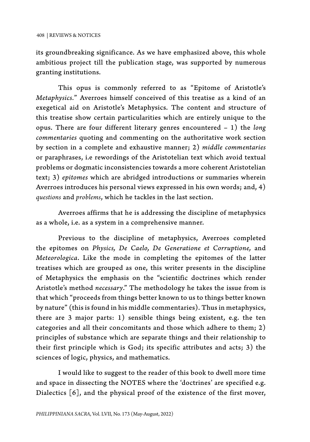its groundbreaking significance. As we have emphasized above, this whole ambitious project till the publication stage, was supported by numerous granting institutions.

This opus is commonly referred to as "Epitome of Aristotle's *Metaphysics.*" Averroes himself conceived of this treatise as a kind of an exegetical aid on Aristotle's Metaphysics. The content and structure of this treatise show certain particularities which are entirely unique to the opus. There are four different literary genres encountered – 1) the *long commentaries* quoting and commenting on the authoritative work section by section in a complete and exhaustive manner; 2) *middle commentaries* or paraphrases, i.e rewordings of the Aristotelian text which avoid textual problems or dogmatic inconsistencies towards a more coherent Aristotelian text; 3) *epitomes* which are abridged introductions or summaries wherein Averroes introduces his personal views expressed in his own words; and, 4) *questions* and *problems*, which he tackles in the last section.

Averroes affirms that he is addressing the discipline of metaphysics as a whole, i.e. as a system in a comprehensive manner.

Previous to the discipline of metaphysics, Averroes completed the epitomes on *Physics, De Caelo, De Generatione et Corruptione,* and *Meteorologica*. Like the mode in completing the epitomes of the latter treatises which are grouped as one, this writer presents in the discipline of Metaphysics the emphasis on the "scientific doctrines which render Aristotle's method *necessary*." The methodology he takes the issue from is that which "proceeds from things better known to us to things better known by nature" (this is found in his middle commentaries). Thus in metaphysics, there are 3 major parts: 1) sensible things being existent, e.g. the ten categories and all their concomitants and those which adhere to them; 2) principles of substance which are separate things and their relationship to their first principle which is God; its specific attributes and acts; 3) the sciences of logic, physics, and mathematics.

I would like to suggest to the reader of this book to dwell more time and space in dissecting the NOTES where the 'doctrines' are specified e.g. Dialectics [6], and the physical proof of the existence of the first mover,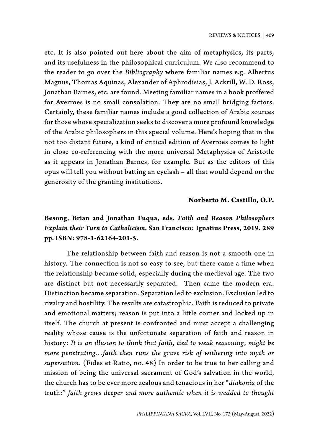etc. It is also pointed out here about the aim of metaphysics, its parts, and its usefulness in the philosophical curriculum. We also recommend to the reader to go over the *Bibliography* where familiar names e.g. Albertus Magnus, Thomas Aquinas, Alexander of Aphrodisias, J. Ackrill, W. D. Ross, Jonathan Barnes, etc. are found. Meeting familiar names in a book proffered for Averroes is no small consolation. They are no small bridging factors. Certainly, these familiar names include a good collection of Arabic sources for those whose specialization seeks to discover a more profound knowledge of the Arabic philosophers in this special volume. Here's hoping that in the not too distant future, a kind of critical edition of Averroes comes to light in close co-referencing with the more universal Metaphysics of Aristotle as it appears in Jonathan Barnes, for example. But as the editors of this opus will tell you without batting an eyelash – all that would depend on the generosity of the granting institutions.

### **Norberto M. Castillo, O.P.**

# **Besong, Brian and Jonathan Fuqua, eds.** *Faith and Reason Philosophers Explain their Turn to Catholicism***. San Francisco: Ignatius Press, 2019. 289 pp. ISBN: 978-1-62164-201-5.**

The relationship between faith and reason is not a smooth one in history. The connection is not so easy to see, but there came a time when the relationship became solid, especially during the medieval age. The two are distinct but not necessarily separated. Then came the modern era. Distinction became separation. Separation led to exclusion. Exclusion led to rivalry and hostility. The results are catastrophic. Faith is reduced to private and emotional matters; reason is put into a little corner and locked up in itself. The church at present is confronted and must accept a challenging reality whose cause is the unfortunate separation of faith and reason in history: *It is an illusion to think that faith, tied to weak reasoning, might be more penetrating…faith then runs the grave risk of withering into myth or superstition*. (Fides et Ratio, no. 48) In order to be true to her calling and mission of being the universal sacrament of God's salvation in the world, the church has to be ever more zealous and tenacious in her "*diakonia* of the truth:" *faith grows deeper and more authentic when it is wedded to thought*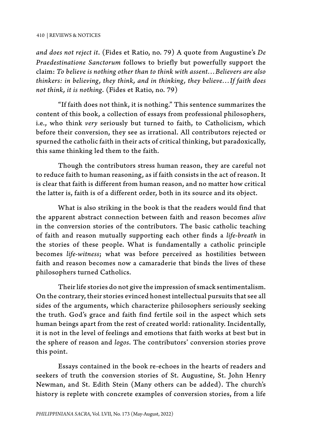*and does not reject it*. (Fides et Ratio, no. 79) A quote from Augustine's *De Praedestinatione Sanctorum* follows to briefly but powerfully support the claim: *To believe is nothing other than to think with assent…Believers are also thinkers: in believing, they think, and in thinking, they believe…If faith does not think, it is nothing*. (Fides et Ratio, no. 79)

"If faith does not think, it is nothing." This sentence summarizes the content of this book, a collection of essays from professional philosophers, i.e., who think *very* seriously but turned to faith, to Catholicism, which before their conversion, they see as irrational. All contributors rejected or spurned the catholic faith in their acts of critical thinking, but paradoxically, this same thinking led them to the faith.

Though the contributors stress human reason, they are careful not to reduce faith to human reasoning, as if faith consists in the act of reason. It is clear that faith is different from human reason, and no matter how critical the latter is, faith is of a different order, both in its source and its object.

What is also striking in the book is that the readers would find that the apparent abstract connection between faith and reason becomes *alive* in the conversion stories of the contributors. The basic catholic teaching of faith and reason mutually supporting each other finds a *life-breath* in the stories of these people. What is fundamentally a catholic principle becomes *life-witness*; what was before perceived as hostilities between faith and reason becomes now a camaraderie that binds the lives of these philosophers turned Catholics.

Their life stories do not give the impression of smack sentimentalism. On the contrary, their stories evinced honest intellectual pursuits that see all sides of the arguments, which characterize philosophers seriously seeking the truth. God's grace and faith find fertile soil in the aspect which sets human beings apart from the rest of created world: rationality. Incidentally, it is not in the level of feelings and emotions that faith works at best but in the sphere of reason and *logos*. The contributors' conversion stories prove this point.

Essays contained in the book re-echoes in the hearts of readers and seekers of truth the conversion stories of St. Augustine, St. John Henry Newman, and St. Edith Stein (Many others can be added). The church's history is replete with concrete examples of conversion stories, from a life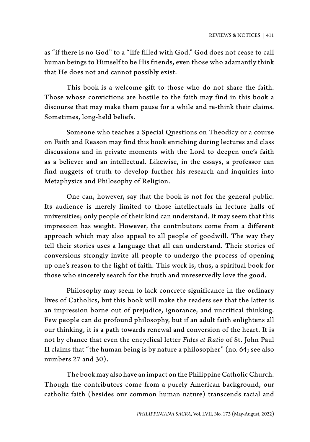as "if there is no God" to a "life filled with God." God does not cease to call human beings to Himself to be His friends, even those who adamantly think that He does not and cannot possibly exist.

This book is a welcome gift to those who do not share the faith. Those whose convictions are hostile to the faith may find in this book a discourse that may make them pause for a while and re-think their claims. Sometimes, long-held beliefs.

Someone who teaches a Special Questions on Theodicy or a course on Faith and Reason may find this book enriching during lectures and class discussions and in private moments with the Lord to deepen one's faith as a believer and an intellectual. Likewise, in the essays, a professor can find nuggets of truth to develop further his research and inquiries into Metaphysics and Philosophy of Religion.

One can, however, say that the book is not for the general public. Its audience is merely limited to those intellectuals in lecture halls of universities; only people of their kind can understand. It may seem that this impression has weight. However, the contributors come from a different approach which may also appeal to all people of goodwill. The way they tell their stories uses a language that all can understand. Their stories of conversions strongly invite all people to undergo the process of opening up one's reason to the light of faith. This work is, thus, a spiritual book for those who sincerely search for the truth and unreservedly love the good.

Philosophy may seem to lack concrete significance in the ordinary lives of Catholics, but this book will make the readers see that the latter is an impression borne out of prejudice, ignorance, and uncritical thinking. Few people can do profound philosophy, but if an adult faith enlightens all our thinking, it is a path towards renewal and conversion of the heart. It is not by chance that even the encyclical letter *Fides et Ratio* of St. John Paul II claims that "the human being is by nature a philosopher" (no. 64; see also numbers 27 and 30).

The book may also have an impact on the Philippine Catholic Church. Though the contributors come from a purely American background, our catholic faith (besides our common human nature) transcends racial and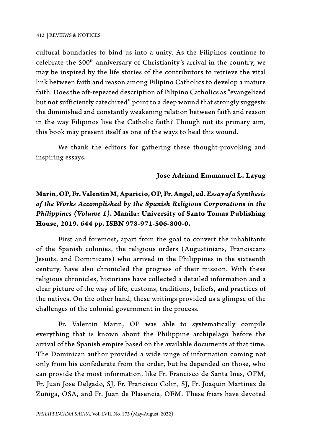cultural boundaries to bind us into a unity. As the Filipinos continue to celebrate the 500<sup>th</sup> anniversary of Christianity's arrival in the country, we may be inspired by the life stories of the contributors to retrieve the vital link between faith and reason among Filipino Catholics to develop a mature faith. Does the oft-repeated description of Filipino Catholics as "evangelized but not sufficiently catechized" point to a deep wound that strongly suggests the diminished and constantly weakening relation between faith and reason in the way Filipinos live the Catholic faith? Though not its primary aim, this book may present itself as one of the ways to heal this wound.

We thank the editors for gathering these thought-provoking and inspiring essays.

## **Jose Adriand Emmanuel L. Layug**

# **Marin, OP, Fr. Valentin M, Aparicio, OP, Fr. Angel, ed.** *Essay of a Synthesis of the Works Accomplished by the Spanish Religious Corporations in the Philippines (Volume 1)***. Manila: University of Santo Tomas Publishing House, 2019. 644 pp. ISBN 978-971-506-800-0.**

First and foremost, apart from the goal to convert the inhabitants of the Spanish colonies, the religious orders (Augustinians, Franciscans Jesuits, and Dominicans) who arrived in the Philippines in the sixteenth century, have also chronicled the progress of their mission. With these religious chronicles, historians have collected a detailed information and a clear picture of the way of life, customs, traditions, beliefs, and practices of the natives. On the other hand, these writings provided us a glimpse of the challenges of the colonial government in the process.

Fr. Valentin Marin, OP was able to systematically compile everything that is known about the Philippine archipelago before the arrival of the Spanish empire based on the available documents at that time. The Dominican author provided a wide range of information coming not only from his confederate from the order, but he depended on those, who can provide the most information, like Fr. Francisco de Santa Ines, OFM, Fr. Juan Jose Delgado, SJ, Fr. Francisco Colin, SJ, Fr. Joaquin Martinez de Zuñiga, OSA, and Fr. Juan de Plasencia, OFM. These friars have devoted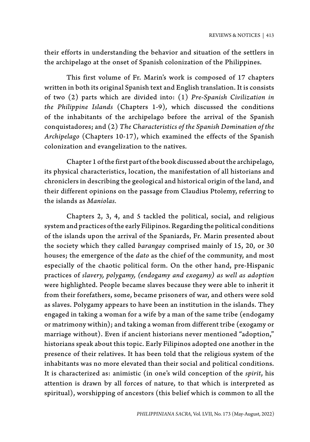their efforts in understanding the behavior and situation of the settlers in the archipelago at the onset of Spanish colonization of the Philippines.

This first volume of Fr. Marin's work is composed of 17 chapters written in both its original Spanish text and English translation. It is consists of two (2) parts which are divided into: (1) *Pre-Spanish Civilization in the Philippine Islands* (Chapters 1-9)*,* which discussed the conditions of the inhabitants of the archipelago before the arrival of the Spanish conquistadores; and (2) *The Characteristics of the Spanish Domination of the Archipelago* (Chapters 10-17), which examined the effects of the Spanish colonization and evangelization to the natives.

Chapter 1 of the first part of the book discussed about the archipelago, its physical characteristics, location, the manifestation of all historians and chroniclers in describing the geological and historical origin of the land, and their different opinions on the passage from Claudius Ptolemy, referring to the islands as *Maniolas.*

Chapters 2, 3, 4, and 5 tackled the political, social, and religious system and practices of the early Filipinos. Regarding the political conditions of the islands upon the arrival of the Spaniards, Fr. Marin presented about the society which they called *barangay* comprised mainly of 15, 20, or 30 houses; the emergence of the *dato* as the chief of the community, and most especially of the chaotic political form. On the other hand, pre-Hispanic practices of *slavery, polygamy, (endogamy and exogamy) as well as adoption* were highlighted. People became slaves because they were able to inherit it from their forefathers, some, became prisoners of war, and others were sold as slaves. Polygamy appears to have been an institution in the islands. They engaged in taking a woman for a wife by a man of the same tribe (endogamy or matrimony within); and taking a woman from different tribe (exogamy or marriage without). Even if ancient historians never mentioned "adoption," historians speak about this topic. Early Filipinos adopted one another in the presence of their relatives. It has been told that the religious system of the inhabitants was no more elevated than their social and political conditions. It is characterized as: animistic (in one's wild conception of the *spirit*, his attention is drawn by all forces of nature, to that which is interpreted as spiritual), worshipping of ancestors (this belief which is common to all the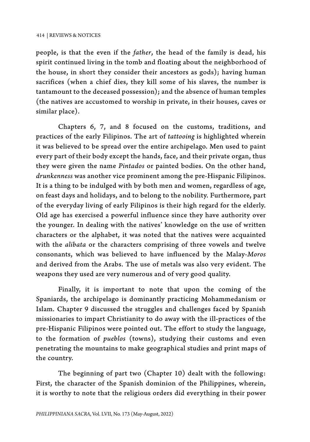people, is that the even if the *father*, the head of the family is dead, his spirit continued living in the tomb and floating about the neighborhood of the house, in short they consider their ancestors as gods); having human sacrifices (when a chief dies, they kill some of his slaves, the number is tantamount to the deceased possession); and the absence of human temples (the natives are accustomed to worship in private, in their houses, caves or similar place).

Chapters 6, 7, and 8 focused on the customs, traditions, and practices of the early Filipinos. The art of *tattooing* is highlighted wherein it was believed to be spread over the entire archipelago. Men used to paint every part of their body except the hands, face, and their private organ, thus they were given the name *Pintados* or painted bodies. On the other hand, *drunkenness* was another vice prominent among the pre-Hispanic Filipinos. It is a thing to be indulged with by both men and women, regardless of age, on feast days and holidays, and to belong to the nobility. Furthermore, part of the everyday living of early Filipinos is their high regard for the elderly. Old age has exercised a powerful influence since they have authority over the younger. In dealing with the natives' knowledge on the use of written characters or the alphabet, it was noted that the natives were acquainted with the *alibata* or the characters comprising of three vowels and twelve consonants, which was believed to have influenced by the Malay-*Moros*  and derived from the Arabs. The use of metals was also very evident. The weapons they used are very numerous and of very good quality.

Finally, it is important to note that upon the coming of the Spaniards, the archipelago is dominantly practicing Mohammedanism or Islam. Chapter 9 discussed the struggles and challenges faced by Spanish missionaries to impart Christianity to do away with the ill-practices of the pre-Hispanic Filipinos were pointed out. The effort to study the language, to the formation of *pueblos* (towns), studying their customs and even penetrating the mountains to make geographical studies and print maps of the country.

The beginning of part two (Chapter 10) dealt with the following: First, the character of the Spanish dominion of the Philippines, wherein, it is worthy to note that the religious orders did everything in their power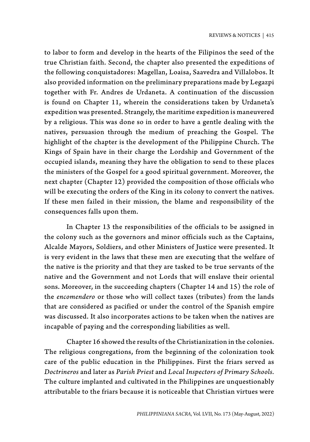to labor to form and develop in the hearts of the Filipinos the seed of the true Christian faith. Second, the chapter also presented the expeditions of the following conquistadores: Magellan, Loaisa, Saavedra and Villalobos. It also provided information on the preliminary preparations made by Legazpi together with Fr. Andres de Urdaneta. A continuation of the discussion is found on Chapter 11, wherein the considerations taken by Urdaneta's expedition was presented. Strangely, the maritime expedition is maneuvered by a religious. This was done so in order to have a gentle dealing with the natives, persuasion through the medium of preaching the Gospel. The highlight of the chapter is the development of the Philippine Church. The Kings of Spain have in their charge the Lordship and Government of the occupied islands, meaning they have the obligation to send to these places the ministers of the Gospel for a good spiritual government. Moreover, the next chapter (Chapter 12) provided the composition of those officials who will be executing the orders of the King in its colony to convert the natives. If these men failed in their mission, the blame and responsibility of the consequences falls upon them.

In Chapter 13 the responsibilities of the officials to be assigned in the colony such as the governors and minor officials such as the Captains, Alcalde Mayors, Soldiers, and other Ministers of Justice were presented. It is very evident in the laws that these men are executing that the welfare of the native is the priority and that they are tasked to be true servants of the native and the Government and not Lords that will enslave their oriental sons. Moreover, in the succeeding chapters (Chapter 14 and 15) the role of the *encomendero* or those who will collect taxes (tributes) from the lands that are considered as pacified or under the control of the Spanish empire was discussed. It also incorporates actions to be taken when the natives are incapable of paying and the corresponding liabilities as well.

Chapter 16 showed the results of the Christianization in the colonies. The religious congregations, from the beginning of the colonization took care of the public education in the Philippines. First the friars served as *Doctrineros* and later as *Parish Priest* and *Local Inspectors of Primary Schools.* The culture implanted and cultivated in the Philippines are unquestionably attributable to the friars because it is noticeable that Christian virtues were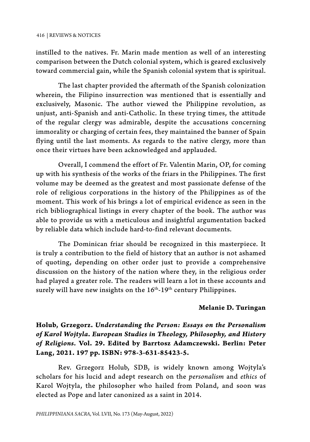instilled to the natives. Fr. Marin made mention as well of an interesting comparison between the Dutch colonial system, which is geared exclusively toward commercial gain, while the Spanish colonial system that is spiritual.

The last chapter provided the aftermath of the Spanish colonization wherein, the Filipino insurrection was mentioned that is essentially and exclusively, Masonic. The author viewed the Philippine revolution, as unjust, anti-Spanish and anti-Catholic. In these trying times, the attitude of the regular clergy was admirable, despite the accusations concerning immorality or charging of certain fees, they maintained the banner of Spain flying until the last moments. As regards to the native clergy, more than once their virtues have been acknowledged and applauded.

Overall, I commend the effort of Fr. Valentin Marin, OP, for coming up with his synthesis of the works of the friars in the Philippines. The first volume may be deemed as the greatest and most passionate defense of the role of religious corporations in the history of the Philippines as of the moment. This work of his brings a lot of empirical evidence as seen in the rich bibliographical listings in every chapter of the book. The author was able to provide us with a meticulous and insightful argumentation backed by reliable data which include hard-to-find relevant documents.

The Dominican friar should be recognized in this masterpiece. It is truly a contribution to the field of history that an author is not ashamed of quoting, depending on other order just to provide a comprehensive discussion on the history of the nation where they, in the religious order had played a greater role. The readers will learn a lot in these accounts and surely will have new insights on the 16<sup>th</sup>-19<sup>th</sup> century Philippines.

## **Melanie D. Turingan**

# **Holub, Grzegorz.** *Understanding the Person: Essays on the Personalism of Karol Wojtyla***.** *European Studies in Theology, Philosophy, and History of Religions.* **Vol. 29. Edited by Barrtosz Adamczewski. Berlin: Peter Lang, 2021. 197 pp. ISBN: 978-3-631-85423-5.**

Rev. Grzegorz Holub, SDB, is widely known among Wojtyla's scholars for his lucid and adept research on the *personalism* and *ethics* of Karol Wojtyla, the philosopher who hailed from Poland, and soon was elected as Pope and later canonized as a saint in 2014.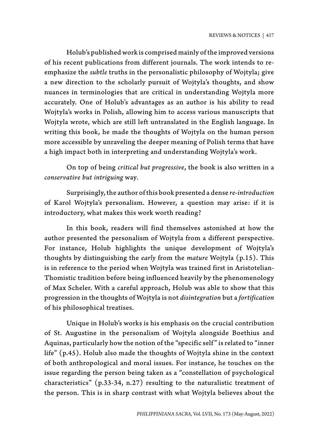Holub's published work is comprised mainly of the improved versions of his recent publications from different journals. The work intends to reemphasize the *subtle* truths in the personalistic philosophy of Wojtyla; give a new direction to the scholarly pursuit of Wojtyla's thoughts, and show nuances in terminologies that are critical in understanding Wojtyla more accurately. One of Holub's advantages as an author is his ability to read Wojtyla's works in Polish, allowing him to access various manuscripts that Wojtyla wrote, which are still left untranslated in the English language. In writing this book, he made the thoughts of Wojtyla on the human person more accessible by unraveling the deeper meaning of Polish terms that have a high impact both in interpreting and understanding Wojtyla's work.

On top of being *critical but progressive*, the book is also written in a *conservative but intriguing* way*.*

Surprisingly, the author of this book presented a dense *re-introduction* of Karol Wojtyla's personalism. However, a question may arise: if it is introductory, what makes this work worth reading?

In this book, readers will find themselves astonished at how the author presented the personalism of Wojtyla from a different perspective. For instance, Holub highlights the unique development of Wojtyla's thoughts by distinguishing the *early* from the *mature* Wojtyla (p.15). This is in reference to the period when Wojtyla was trained first in Aristotelian-Thomistic tradition before being influenced heavily by the phenomenology of Max Scheler. With a careful approach, Holub was able to show that this progression in the thoughts of Wojtyla is not *disintegration* but a *fortification* of his philosophical treatises.

Unique in Holub's works is his emphasis on the crucial contribution of St. Augustine in the personalism of Wojtyla alongside Boethius and Aquinas, particularly how the notion of the "specific self " is related to "inner life" (p.45). Holub also made the thoughts of Wojtyla shine in the context of both anthropological and moral issues. For instance, he touches on the issue regarding the person being taken as a "constellation of psychological characteristics" (p.33-34, n.27) resulting to the naturalistic treatment of the person. This is in sharp contrast with what Wojtyla believes about the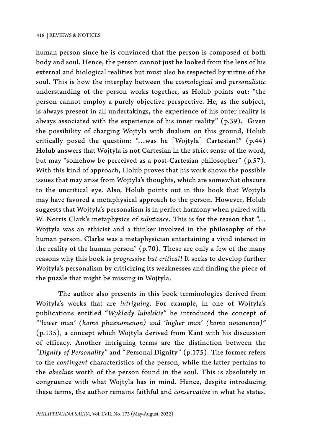human person since he is convinced that the person is composed of both body and soul. Hence, the person cannot just be looked from the lens of his external and biological realities but must also be respected by virtue of the soul. This is how the interplay between the *cosmological* and *personalistic* understanding of the person works together, as Holub points out: "the person cannot employ a purely objective perspective. He, as the subject, is always present in all undertakings, the experience of his outer reality is always associated with the experience of his inner reality" (p.39). Given the possibility of charging Wojtyla with dualism on this ground, Holub critically posed the question: "…was he [Wojtyla] Cartesian?" (p.44) Holub answers that Wojtyla is not Cartesian in the strict sense of the word, but may "somehow be perceived as a post-Cartesian philosopher" (p.57). With this kind of approach, Holub proves that his work shows the possible issues that may arise from Wojtyla's thoughts, which are somewhat obscure to the uncritical eye. Also, Holub points out in this book that Wojtyla may have favored a metaphysical approach to the person. However, Holub suggests that Wojtyla's personalism is in perfect harmony when paired with W. Norris Clark's metaphysics of *substance*. This is for the reason that "… Wojtyła was an ethicist and a thinker involved in the philosophy of the human person. Clarke was a metaphysician entertaining a vivid interest in the reality of the human person" (p.70). These are only a few of the many reasons why this book is *progressive but critical!* It seeks to develop further Wojtyla's personalism by criticizing its weaknesses and finding the piece of the puzzle that might be missing in Wojtyla.

The author also presents in this book terminologies derived from Wojtyla's works that are *intriguing*. For example, in one of Wojtyla's publications entitled "*Wyklady lubelskie"* he introduced the concept of *"'lower man' (homo phaenomenon) and 'higher man' (homo noumenon)"* (p.135), a concept which Wojtyla derived from Kant with his discussion of efficacy. Another intriguing terms are the distinction between the *"Dignity of Personality"* and "Personal Dignity" (p.175). The former refers to the *contingent* characteristics of the person, while the latter pertains to the *absolute* worth of the person found in the soul. This is absolutely in congruence with what Wojtyla has in mind. Hence, despite introducing these terms, the author remains faithful and *conservative* in what he states.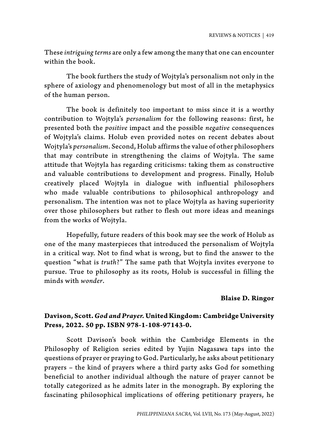These *intriguing terms* are only a few among the many that one can encounter within the book.

The book furthers the study of Wojtyla's personalism not only in the sphere of axiology and phenomenology but most of all in the metaphysics of the human person.

The book is definitely too important to miss since it is a worthy contribution to Wojtyla's *personalism* for the following reasons: first, he presented both the *positive* impact and the possible *negative* consequences of Wojtyla's claims. Holub even provided notes on recent debates about Wojtyla's *personalism*. Second, Holub affirms the value of other philosophers that may contribute in strengthening the claims of Wojtyla. The same attitude that Wojtyla has regarding criticisms: taking them as constructive and valuable contributions to development and progress. Finally, Holub creatively placed Wojtyla in dialogue with influential philosophers who made valuable contributions to philosophical anthropology and personalism. The intention was not to place Wojtyla as having superiority over those philosophers but rather to flesh out more ideas and meanings from the works of Wojtyla.

Hopefully, future readers of this book may see the work of Holub as one of the many masterpieces that introduced the personalism of Wojtyla in a critical way. Not to find what is wrong, but to find the answer to the question "what is *truth*?" The same path that Wojtyla invites everyone to pursue. True to philosophy as its roots, Holub is successful in filling the minds with *wonder*.

## **Blaise D. Ringor**

# **Davison, Scott.** *God and Prayer.* **United Kingdom: Cambridge University Press, 2022. 50 pp. ISBN 978-1-108-97143-0.**

Scott Davison's book within the Cambridge Elements in the Philosophy of Religion series edited by Yujin Nagasawa taps into the questions of prayer or praying to God. Particularly, he asks about petitionary prayers – the kind of prayers where a third party asks God for something beneficial to another individual although the nature of prayer cannot be totally categorized as he admits later in the monograph. By exploring the fascinating philosophical implications of offering petitionary prayers, he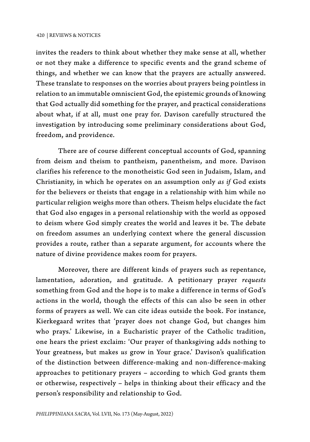invites the readers to think about whether they make sense at all, whether or not they make a difference to specific events and the grand scheme of things, and whether we can know that the prayers are actually answered. These translate to responses on the worries about prayers being pointless in relation to an immutable omniscient God, the epistemic grounds of knowing that God actually did something for the prayer, and practical considerations about what, if at all, must one pray for. Davison carefully structured the investigation by introducing some preliminary considerations about God, freedom, and providence.

There are of course different conceptual accounts of God, spanning from deism and theism to pantheism, panentheism, and more. Davison clarifies his reference to the monotheistic God seen in Judaism, Islam, and Christianity, in which he operates on an assumption only *as if* God exists for the believers or theists that engage in a relationship with him while no particular religion weighs more than others. Theism helps elucidate the fact that God also engages in a personal relationship with the world as opposed to deism where God simply creates the world and leaves it be. The debate on freedom assumes an underlying context where the general discussion provides a route, rather than a separate argument, for accounts where the nature of divine providence makes room for prayers.

Moreover, there are different kinds of prayers such as repentance, lamentation, adoration, and gratitude. A petitionary prayer *requests* something from God and the hope is to make a difference in terms of God's actions in the world, though the effects of this can also be seen in other forms of prayers as well. We can cite ideas outside the book. For instance, Kierkegaard writes that 'prayer does not change God, but changes him who prays.' Likewise, in a Eucharistic prayer of the Catholic tradition, one hears the priest exclaim: 'Our prayer of thanksgiving adds nothing to Your greatness, but makes *us* grow in Your grace.' Davison's qualification of the distinction between difference-making and non-difference-making approaches to petitionary prayers – according to which God grants them or otherwise, respectively – helps in thinking about their efficacy and the person's responsibility and relationship to God.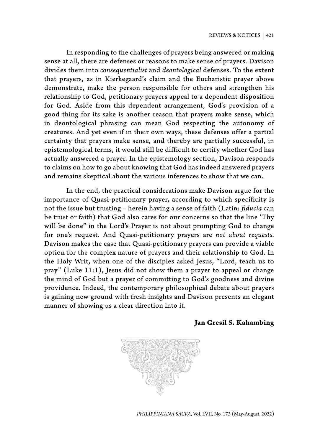In responding to the challenges of prayers being answered or making sense at all, there are defenses or reasons to make sense of prayers. Davison divides them into *consequentialist* and *deontological* defenses. To the extent that prayers, as in Kierkegaard's claim and the Eucharistic prayer above demonstrate, make the person responsible for others and strengthen his relationship to God, petitionary prayers appeal to a dependent disposition for God. Aside from this dependent arrangement, God's provision of a good thing for its sake is another reason that prayers make sense, which in deontological phrasing can mean God respecting the autonomy of creatures. And yet even if in their own ways, these defenses offer a partial certainty that prayers make sense, and thereby are partially successful, in epistemological terms, it would still be difficult to certify whether God has actually answered a prayer. In the epistemology section, Davison responds to claims on how to go about knowing that God has indeed answered prayers and remains skeptical about the various inferences to show that we can.

In the end, the practical considerations make Davison argue for the importance of Quasi-petitionary prayer, according to which specificity is not the issue but trusting – herein having a sense of faith (Latin: *fiducia* can be trust or faith) that God also cares for our concerns so that the line 'Thy will be done" in the Lord's Prayer is not about prompting God to change for one's request. And Quasi-petitionary prayers are *not about requests.*  Davison makes the case that Quasi-petitionary prayers can provide a viable option for the complex nature of prayers and their relationship to God. In the Holy Writ, when one of the disciples asked Jesus, "Lord, teach us to pray" (Luke 11:1), Jesus did not show them a prayer to appeal or change the mind of God but a prayer of committing to God's goodness and divine providence. Indeed, the contemporary philosophical debate about prayers is gaining new ground with fresh insights and Davison presents an elegant manner of showing us a clear direction into it.

### **Jan Gresil S. Kahambing**



*PHILIPPINIANA SACRA*, Vol. LVII, No. 173 (May-August, 2022)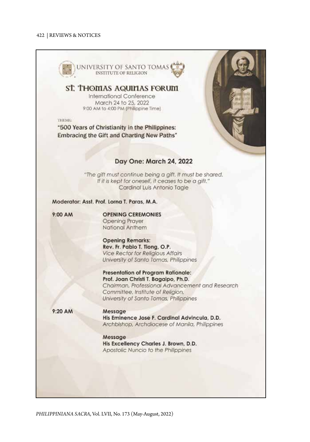

*PHILIPPINIANA SACRA*, Vol. LVII, No. 173 (May-August, 2022)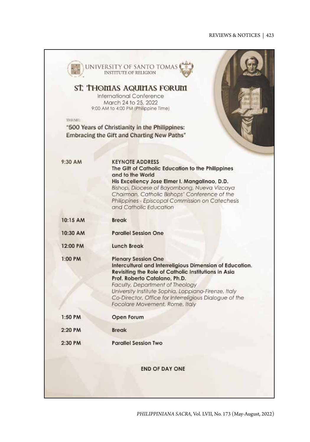### REVIEWS & NOTICES | 423

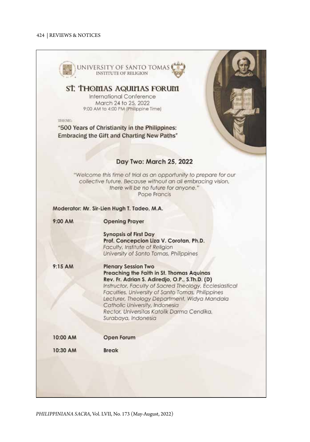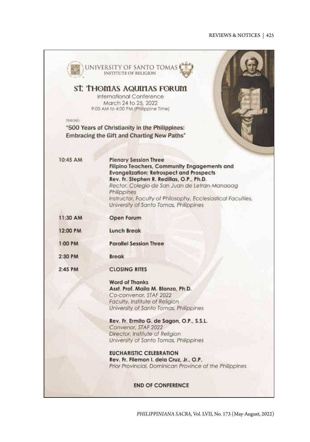## REVIEWS & NOTICES | 425

|          | ST. THOMAS AQUIMAS FORUM<br>International Conference                                                   |
|----------|--------------------------------------------------------------------------------------------------------|
|          | March 24 to 25, 2022                                                                                   |
|          | 9:00 AM to 4:00 PM (Philippine Time)                                                                   |
| THEME:   |                                                                                                        |
|          | "500 Years of Christianity in the Philippines:                                                         |
|          | Embracing the Gift and Charting New Paths"                                                             |
|          |                                                                                                        |
| 10:45 AM | <b>Plenary Session Three</b>                                                                           |
|          | Filipino Teachers, Community Engagements and                                                           |
|          | <b>Evangelization: Retrospect and Prospects</b><br>Rev. Fr. Stephen R. Redillas, O.P., Ph.D.           |
|          | Rector, Colegio de San Juan de Letran-Manaoag                                                          |
|          | Philippines                                                                                            |
|          | Instructor, Faculty of Philosophy, Ecclesiastical Faculties,<br>University of Santo Tomas, Philippines |
|          |                                                                                                        |
| 11:30 AM | Open Forum                                                                                             |
| 12:00 PM | <b>Lunch Break</b>                                                                                     |
| 1:00 PM  | <b>Parallel Session Three</b>                                                                          |
| 2:30 PM  | <b>Break</b>                                                                                           |
| 2:45 PM  | <b>CLOSING RITES</b>                                                                                   |
|          | <b>Word of Thanks</b>                                                                                  |
|          | Asst. Prof. Maila M. Blanza, Ph.D.                                                                     |
|          | Co-convenor, STAF 2022<br>Faculty, Institute of Religion                                               |
|          | University of Santo Tomas, Philippines                                                                 |
|          | Rev. Fr. Ermito G. de Sagon, O.P., S.S.L.                                                              |
|          | Convenor, STAF 2022                                                                                    |
|          | Director, Institute of Religion<br>University of Santo Tomas, Philippines                              |
|          | <b>EUCHARISTIC CELEBRATION</b>                                                                         |
|          | Rev. Fr. Filemon I. dela Cruz, Jr., O.P.                                                               |
|          | Prior Provincial, Dominican Province of the Philippines                                                |

*PHILIPPINIANA SACRA*, Vol. LVII, No. 173 (May-August, 2022)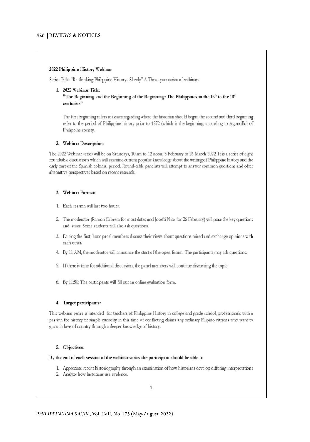#### 2022 Philippine History Webinar

Series Title: "Re-thinking Philippine History...Slowly" A Three-year series of webinars

#### 1. 2022 Webinar Title:

"The Beginning and the Beginning of the Beginning: The Philippines in the 16th to the 18th centuries"

The first beginning refers to issues regarding where the historian should begin; the second and third beginning refer to the period of Philippine history prior to 1872 (which is the beginning, according to Agoncillo) of Philippine society.

### 2. Webinar Description:

The 2022 Webinar series will be on Saturdays, 10 am to 12 noon, 5 February to 26 March 2022. It is a series of eight roundtable discussions which will examine current popular knowledge about the writing of Philippine history and the early part of the Spanish colonial period. Round-table panelists will attempt to answer common questions and offer alternative perspectives based on recent research.

### 3. Webinar Format:

- 1. Each session will last two hours.
- 2. The moderator (Ramon Cabrera for most dates and Josefti Nito for 26 February) will pose the key questions and issues. Some students will also ask questions.
- 3. During the first, hour panel members discuss their views about questions raised and exchange opinions with each other.
- 4. By 11 AM, the moderator will announce the start of the open forum. The participants may ask questions.
- 5. If there is time for additional discussion, the panel members will continue discussing the topic.
- 6. By 11:50: The participants will fill out an online evaluation form.

### 4. Target participants:

This webinar series is intended for teachers of Philippine History in college and grade school, professionals with a passion for history or simple curiosity in this time of conflicting claims any ordinary Filipino citizens who want to grow in love of country through a deeper knowledge of history.

### 5. Objectives:

#### By the end of each session of the webinar series the participant should be able to

- 1. Appreciate recent historiography through an examination of how historians develop differing interpretations
- 2. Analyze how historians use evidence.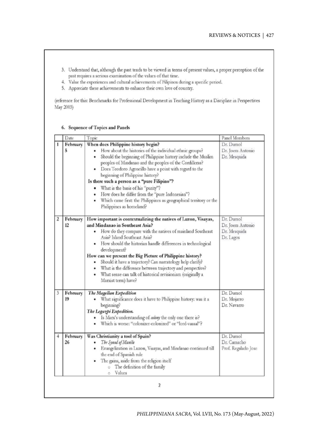- 3. Understand that, although the past tends to be viewed in terms of present values, a proper perception of the past requires a serious examination of the values of that time.
- 4. Value the experiences and cultural achievements of Filipinos during a specific period.
- 5. Appreciate these achievements to enhance their own love of country.

(reference for this: Benchmarks for Professional Development in Teaching History as a Discipline in Perspectives May 2003)

### 6. Sequence of Topics and Panels

| Date                | Торіс                                                                                                                                                                                                                                                                                                                                                                                                                                                                                                                                                                                      | Panel Members                                              |
|---------------------|--------------------------------------------------------------------------------------------------------------------------------------------------------------------------------------------------------------------------------------------------------------------------------------------------------------------------------------------------------------------------------------------------------------------------------------------------------------------------------------------------------------------------------------------------------------------------------------------|------------------------------------------------------------|
| February<br>5       | When does Philippine history begin?<br>How about the histories of the individual ethnic groups?<br>٠<br>Should the beginning of Philippine history include the Muslim<br>٠<br>peoples of Mindanao and the peoples of the Cordilleras?<br>Does Teodoro Agoncillo have a point with regard to the<br>٠<br>beginning of Philippine history?<br>Is there such a person as a "pure Filipino"?<br>. What is the basis of his "punty"?<br>• How does he differ from the "pure Indonesian"?<br>Which came first: the Philippines as geographical territory or the<br>٠<br>Philippines as homeland? | Dr. Dumol<br>Dr. Joem Antonio<br>Dr. Mesquida              |
| February<br>2<br>12 | How important is contextualizing the natives of Luzon, Visayas,<br>and Mindanao in Southeast Asia?<br>How do they compare with the natives of mainland Southeast<br>٠<br>Asia? Island Southeast Asia?<br>How should the historian handle differences in technological<br>development?<br>How can we present the Big Picture of Philippine history?<br>Should it have a trajectory? Can narratology help clarify?<br>٠<br>· What is the difference between trajectory and perspectiver<br>· What sense can talk of historical revisionism (originally a<br>Marxist term) have?              | Dr. Dumol<br>Dr. Joem Antonio<br>Dr. Mesquida<br>Dr. Lagos |
| 3<br>February<br>19 | The Magellan Expedition<br>What significance does it have to Philippine history: was it a<br>beginning?<br>The Legazpi Expedition.<br>Is Marx's understanding of colony the only one there is?<br>۰<br>Which is worse: "colonizer-colonized" or "lord-vassal"?                                                                                                                                                                                                                                                                                                                             | Dr. Dumol<br>Dr. Mojarro<br>Dr. Navarro                    |
| February<br>4<br>26 | Was Christianity a tool of Spain?<br>The Synod of Manila<br>٠<br>Evangelization in Luzon, Visayas, and Mindanao continued till<br>۰<br>the end of Spanish rule<br>The gains, aside from the religion itself<br>٠<br>The definition of the family<br>Values<br>Õ                                                                                                                                                                                                                                                                                                                            | Dr. Dumol<br>Dr. Camacho<br>Prof. Regalado Jose            |